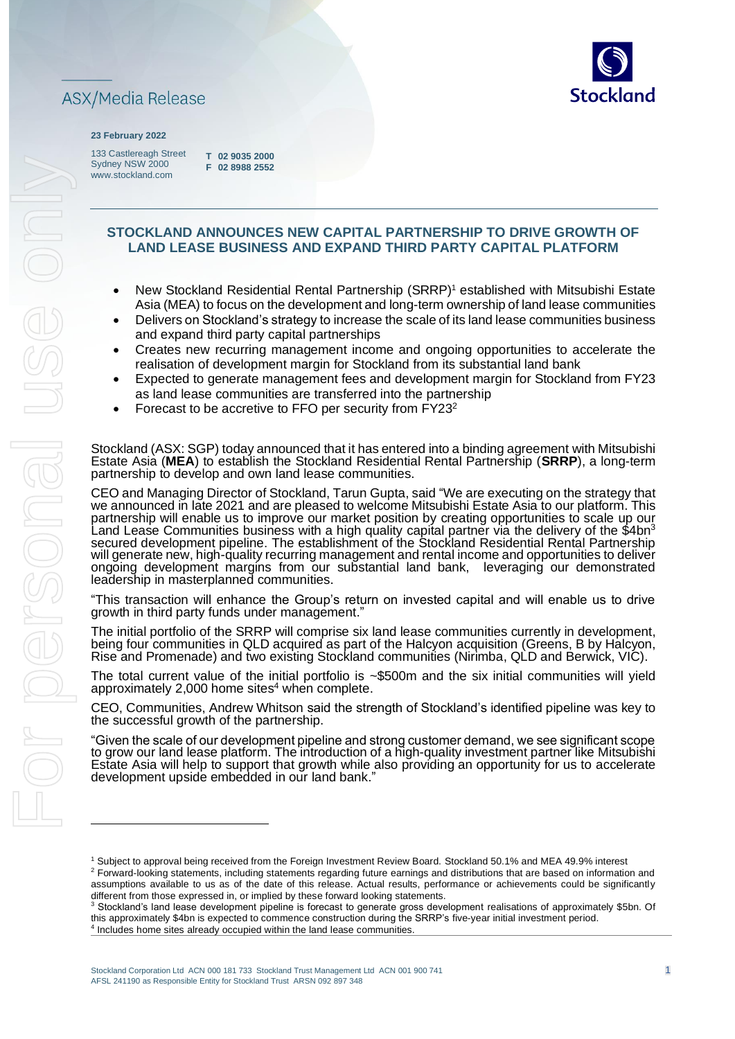

#### **23 February 2022**

133 Castlereagh Street Sydney NSW 2000 www.stockland.com

**T 02 9035 2000 F 02 8988 2552** 

# **STOCKLAND ANNOUNCES NEW CAPITAL PARTNERSHIP TO DRIVE GROWTH OF LAND LEASE BUSINESS AND EXPAND THIRD PARTY CAPITAL PLATFORM**

- New Stockland Residential Rental Partnership (SRRP)<sup>1</sup> established with Mitsubishi Estate Asia (MEA) to focus on the development and long-term ownership of land lease communities
- Delivers on Stockland's strategy to increase the scale of its land lease communities business and expand third party capital partnerships
- Creates new recurring management income and ongoing opportunities to accelerate the realisation of development margin for Stockland from its substantial land bank
- Expected to generate management fees and development margin for Stockland from FY23 as land lease communities are transferred into the partnership
- Forecast to be accretive to FFO per security from FY23<sup>2</sup>

Stockland (ASX: SGP) today announced that it has entered into a binding agreement with Mitsubishi Estate Asia (**MEA**) to establish the Stockland Residential Rental Partnership (**SRRP**), a long-term partnership to develop and own land lease communities.

CEO and Managing Director of Stockland, Tarun Gupta, said "We are executing on the strategy that we announced in late 2021 and are pleased to welcome Mitsubishi Estate Asia to our platform. This partnership will enable us to improve our market position by creating opportunities to scale up our  ${\sf Land}$  Lease Communities business with a high quality capital partner via the delivery of the \$4bn $^3$ secured development pipeline. The establishment of the Stockland Residential Rental Partnership will generate new, high-quality recurring management and rental income and opportunities to deliver ongoing development margins from our substantial land bank, leveraging our demonstrated leadership in masterplanned communities.

"This transaction will enhance the Group's return on invested capital and will enable us to drive growth in third party funds under management.'

The initial portfolio of the SRRP will comprise six land lease communities currently in development, being four communities in QLD acquired as part of the Halcyon acquisition (Greens, B by Halcyon, Rise and Promenade) and two existing Stockland communities (Nirimba, QLD and Berwick, VIC).

The total current value of the initial portfolio is ~\$500m and the six initial communities will yield approximately 2,000 home sites $4$  when complete.

CEO, Communities, Andrew Whitson said the strength of Stockland's identified pipeline was key to the successful growth of the partnership.

"Given the scale of our development pipeline and strong customer demand, we see significant scope to grow our land lease platform. The introduction of a high-quality investment partner like Mitsubishi Estate Asia will help to support that growth while also providing an opportunity for us to accelerate development upside embedded in our land bank."

<sup>1</sup> Subject to approval being received from the Foreign Investment Review Board. Stockland 50.1% and MEA 49.9% interest <sup>2</sup> Forward-looking statements, including statements regarding future earnings and distributions that are based on information and assumptions available to us as of the date of this release. Actual results, performance or achievements could be significantly different from those expressed in, or implied by these forward looking statements.

<sup>&</sup>lt;sup>3</sup> Stockland's land lease development pipeline is forecast to generate gross development realisations of approximately \$5bn. Of this approximately \$4bn is expected to commence construction during the SRRP's five-year initial investment period. <sup>4</sup> Includes home sites already occupied within the land lease communities.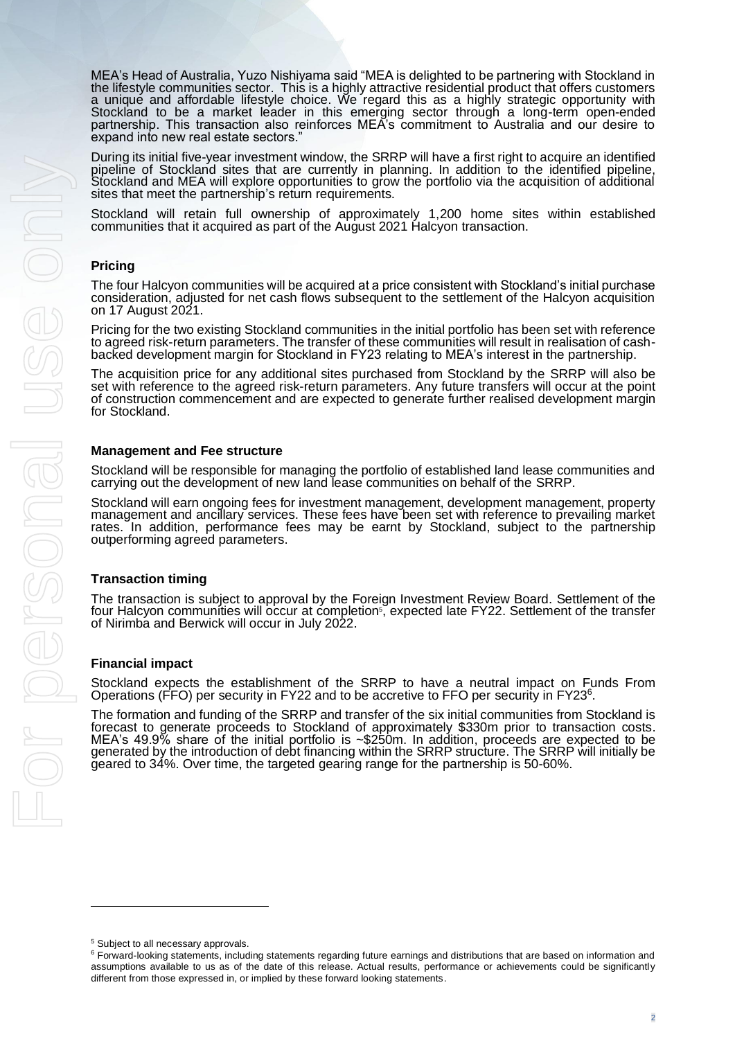MEA's Head of Australia, Yuzo Nishiyama said "MEA is delighted to be partnering with Stockland in the lifestyle communities sector. This is a highly attractive residential product that offers customers a uniqué and affordable lifestyle choice. We regard this as a highly strategic opportunity with Stockland to be a market leader in this emerging sector through a long-term open-ended partnership. This transaction also reinforces MEA's commitment to Australia and our desire to expand into new real estate sectors.

During its initial five-year investment window, the SRRP will have a first right to acquire an identified pipeline of Stockland sites that are currently in planning. In addition to the identified pipeline, Stockland and MEA will explore opportunities to grow the portfolio via the acquisition of additional sites that meet the partnership's return requirements.

Stockland will retain full ownership of approximately 1,200 home sites within established communities that it acquired as part of the August 2021 Halcyon transaction.

## **Pricing**

The four Halcyon communities will be acquired at a price consistent with Stockland's initial purchase consideration, adjusted for net cash flows subsequent to the settlement of the Halcyon acquisition on 17 August 2021.

Pricing for the two existing Stockland communities in the initial portfolio has been set with reference to agreed risk-return parameters. The transfer of these communities will result in realisation of cashbacked development margin for Stockland in FY23 relating to MEA's interest in the partnership.

The acquisition price for any additional sites purchased from Stockland by the SRRP will also be set with reference to the agreed risk-return parameters. Any future transfers will occur at the point of construction commencement and are expected to generate further realised development margin for Stockland.

## **Management and Fee structure**

Stockland will be responsible for managing the portfolio of established land lease communities and carrying out the development of new land lease communities on behalf of the SRRP.

Stockland will earn ongoing fees for investment management, development management, property management and ancillary services. These fees have been set with reference to prevailing market rates. In addition, performance fees may be earnt by Stockland, subject to the partnership outperforming agreed parameters.

#### **Transaction timing**

The transaction is subject to approval by the Foreign Investment Review Board. Settlement of the four Halcyon communities will occur at completion<sup>s</sup>, expected late FY22. Settlement of the transfer of Nirimba and Berwick will occur in July 2022.

## **Financial impact**

Stockland expects the establishment of the SRRP to have a neutral impact on Funds From Operations (FFO) per security in FY22 and to be accretive to FFO per security in FY23<sup>6</sup>.

The formation and funding of the SRRP and transfer of the six initial communities from Stockland is forecast to generate proceeds to Stockland of approximately \$330m prior to transaction costs. MEA's 49.9% share of the initial portfolio is ~\$250m. In addition, proceeds are expected to be generated by the introduction of debt financing within the SRRP structure. The SRRP will initially be geared to 34%. Over time, the targeted gearing range for the partnership is 50-60%.

<sup>5</sup> Subject to all necessary approvals.

<sup>&</sup>lt;sup>6</sup> Forward-looking statements, including statements regarding future earnings and distributions that are based on information and assumptions available to us as of the date of this release. Actual results, performance or achievements could be significantly different from those expressed in, or implied by these forward looking statements.